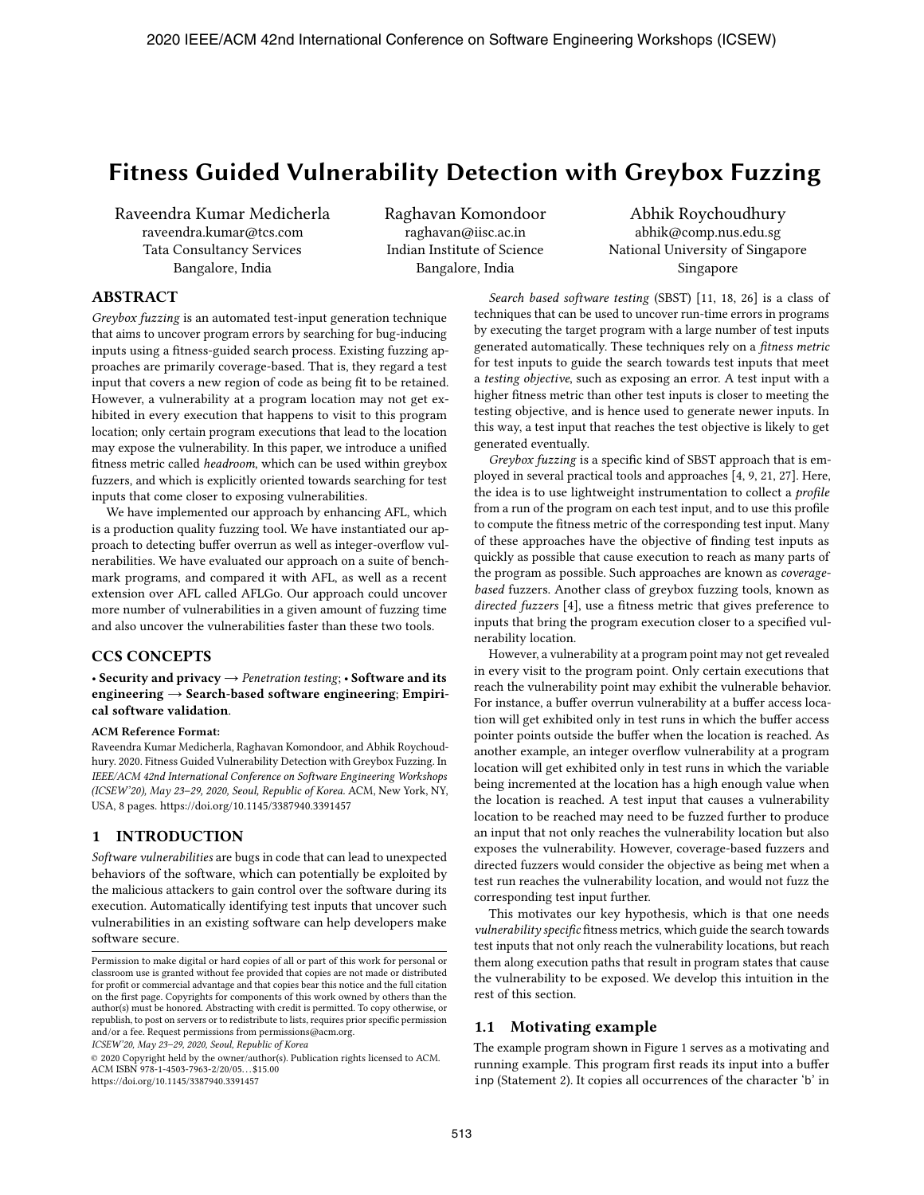# **Fitness Guided Vulnerability Detection with Greybox Fuzzing**

Raveendra Kumar Medicherla raveendra.kumar@tcs.com Tata Consultancy Services Bangalore, India

Raghavan Komondoor raghavan@iisc.ac.in Indian Institute of Science Bangalore, India

Abhik Roychoudhury abhik@comp.nus.edu.sg National University of Singapore Singapore

# **ABSTRACT**

*Greybox fuzzing* is an automated test-input generation technique that aims to uncover program errors by searching for bug-inducing inputs using a fitness-guided search process. Existing fuzzing approaches are primarily coverage-based. That is, they regard a test input that covers a new region of code as being fit to be retained. However, a vulnerability at a program location may not get exhibited in every execution that happens to visit to this program location; only certain program executions that lead to the location may expose the vulnerability. In this paper, we introduce a unified fitness metric called *headroom*, which can be used within greybox fuzzers, and which is explicitly oriented towards searching for test inputs that come closer to exposing vulnerabilities.

We have implemented our approach by enhancing AFL, which is a production quality fuzzing tool. We have instantiated our approach to detecting buffer overrun as well as integer-overflow vulnerabilities. We have evaluated our approach on a suite of benchmark programs, and compared it with AFL, as well as a recent extension over AFL called AFLGo. Our approach could uncover more number of vulnerabilities in a given amount of fuzzing time and also uncover the vulnerabilities faster than these two tools.

# **CCS CONCEPTS**

• **Security and privacy** → *Penetration testing*; • **Software and its engineering** → **Search-based software engineering**; **Empirical software validation**.

#### **ACM Reference Format:**

Raveendra Kumar Medicherla, Raghavan Komondoor, and Abhik Roychoudhury. 2020. Fitness Guided Vulnerability Detection with Greybox Fuzzing. In *IEEE/ACM 42nd International Conference on Software Engineering Workshops (ICSEW'20), May 23–29, 2020, Seoul, Republic of Korea.* ACM, New York, NY, USA, 8 pages. https://doi.org/10.1145/3387940.3391457

# **1 INTRODUCTION**

*Software vulnerabilities* are bugs in code that can lead to unexpected behaviors of the software, which can potentially be exploited by the malicious attackers to gain control over the software during its execution. Automatically identifying test inputs that uncover such vulnerabilities in an existing software can help developers make software secure.

*ICSEW'20, May 23–29, 2020, Seoul, Republic of Korea*

© 2020 Copyright held by the owner/author(s). Publication rights licensed to ACM. ACM ISBN 978-1-4503-7963-2/20/05. . . \$15.00

https://doi.org/10.1145/3387940.3391457

*Search based software testing* (SBST) [11, 18, 26] is a class of techniques that can be used to uncover run-time errors in programs by executing the target program with a large number of test inputs generated automatically. These techniques rely on a *fitness metric* for test inputs to guide the search towards test inputs that meet a *testing objective*, such as exposing an error. A test input with a higher fitness metric than other test inputs is closer to meeting the testing objective, and is hence used to generate newer inputs. In this way, a test input that reaches the test objective is likely to get generated eventually.

*Greybox fuzzing* is a specific kind of SBST approach that is employed in several practical tools and approaches [4, 9, 21, 27]. Here, the idea is to use lightweight instrumentation to collect a *profile* from a run of the program on each test input, and to use this profile to compute the fitness metric of the corresponding test input. Many of these approaches have the objective of finding test inputs as quickly as possible that cause execution to reach as many parts of the program as possible. Such approaches are known as *coveragebased* fuzzers. Another class of greybox fuzzing tools, known as *directed fuzzers* [4], use a fitness metric that gives preference to inputs that bring the program execution closer to a specified vulnerability location.

However, a vulnerability at a program point may not get revealed in every visit to the program point. Only certain executions that reach the vulnerability point may exhibit the vulnerable behavior. For instance, a buffer overrun vulnerability at a buffer access location will get exhibited only in test runs in which the buffer access pointer points outside the buffer when the location is reached. As another example, an integer overflow vulnerability at a program location will get exhibited only in test runs in which the variable being incremented at the location has a high enough value when the location is reached. A test input that causes a vulnerability location to be reached may need to be fuzzed further to produce an input that not only reaches the vulnerability location but also exposes the vulnerability. However, coverage-based fuzzers and directed fuzzers would consider the objective as being met when a test run reaches the vulnerability location, and would not fuzz the corresponding test input further.

This motivates our key hypothesis, which is that one needs *vulnerability specific* fitness metrics, which guide the search towards test inputs that not only reach the vulnerability locations, but reach them along execution paths that result in program states that cause the vulnerability to be exposed. We develop this intuition in the rest of this section.

# **1.1 Motivating example**

The example program shown in Figure 1 serves as a motivating and running example. This program first reads its input into a buffer inp (Statement 2). It copies all occurrences of the character 'b' in

Permission to make digital or hard copies of all or part of this work for personal or classroom use is granted without fee provided that copies are not made or distributed for profit or commercial advantage and that copies bear this notice and the full citation on the first page. Copyrights for components of this work owned by others than the author(s) must be honored. Abstracting with credit is permitted. To copy otherwise, or republish, to post on servers or to redistribute to lists, requires prior specific permission and/or a fee. Request permissions from permissions@acm.org.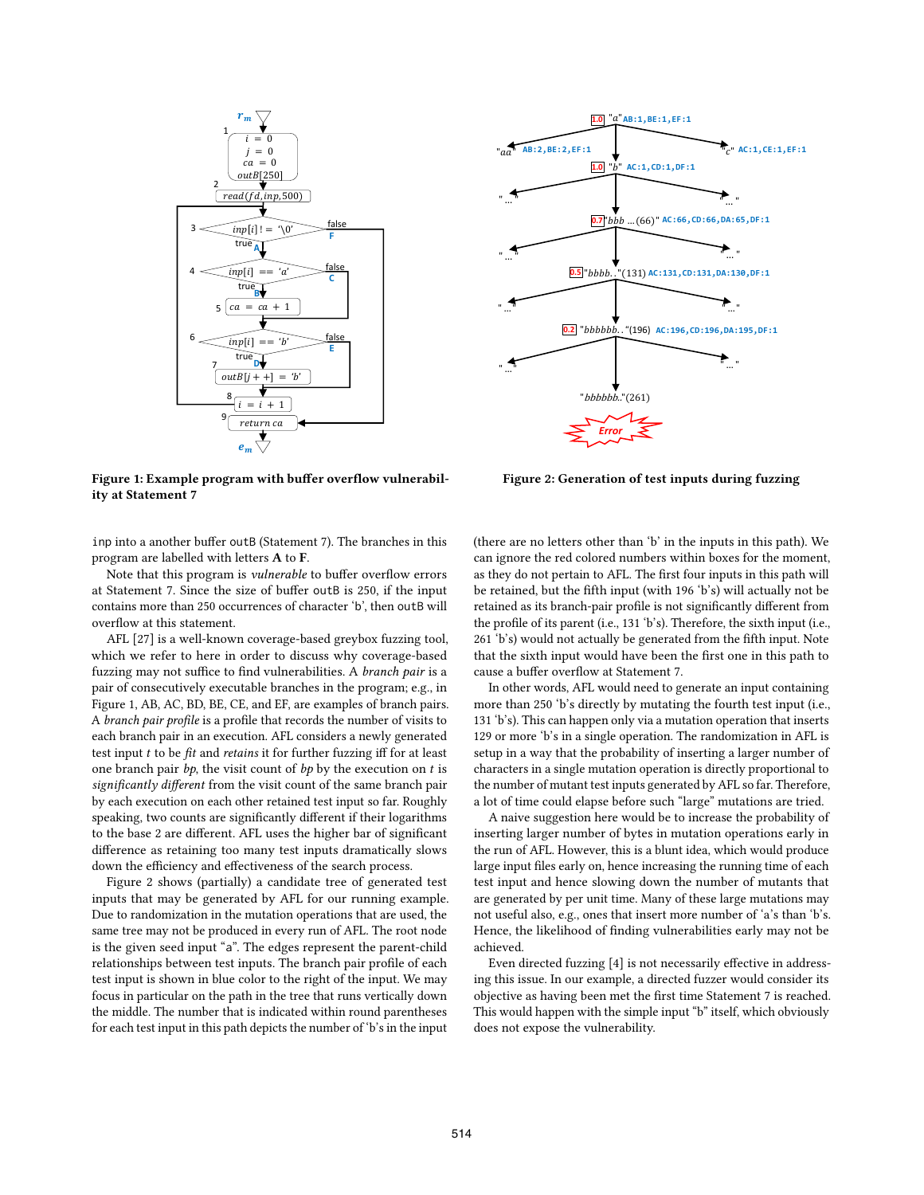

**1.0 0.5** "bbbb. "*bbbbbb.*."(261) "…" "…" "…" "…" **AC:131,CD:131,DA:130,DF:1 0.2** "bbbbbb. *Error* **AC:196,CD:196,DA:195,DF:1** "ܽ" **AB:1,BE:1,EF:1** "aa" "ܾ"  $"c"$ "ܾܾܾ … (66)" **AC:66,CD:66,DA:65,DF:1** "…" "…" "…" "…" **AC:1,CD:1,DF:1** AB:2, BE:2, EF:1 **AC:1, CE:1, EF:1 1.0 0.7**

**Figure 1: Example program with buffer overflow vulnerability at Statement 7**

inp into a another buffer outB (Statement 7). The branches in this program are labelled with letters **A** to **F**.

Note that this program is *vulnerable* to buffer overflow errors at Statement 7. Since the size of buffer outB is 250, if the input contains more than 250 occurrences of character 'b', then outB will overflow at this statement.

AFL [27] is a well-known coverage-based greybox fuzzing tool, which we refer to here in order to discuss why coverage-based fuzzing may not suffice to find vulnerabilities. A *branch pair* is a pair of consecutively executable branches in the program; e.g., in Figure 1, AB, AC, BD, BE, CE, and EF, are examples of branch pairs. A *branch pair profile* is a profile that records the number of visits to each branch pair in an execution. AFL considers a newly generated test input to be *fit* and *retains* it for further fuzzing iff for at least one branch pair *bp*, the visit count of *bp* by the execution on is *significantly different* from the visit count of the same branch pair by each execution on each other retained test input so far. Roughly speaking, two counts are significantly different if their logarithms to the base 2 are different. AFL uses the higher bar of significant difference as retaining too many test inputs dramatically slows down the efficiency and effectiveness of the search process.

Figure 2 shows (partially) a candidate tree of generated test inputs that may be generated by AFL for our running example. Due to randomization in the mutation operations that are used, the same tree may not be produced in every run of AFL. The root node is the given seed input "a". The edges represent the parent-child relationships between test inputs. The branch pair profile of each test input is shown in blue color to the right of the input. We may focus in particular on the path in the tree that runs vertically down the middle. The number that is indicated within round parentheses for each test input in this path depicts the number of 'b's in the input

**Figure 2: Generation of test inputs during fuzzing**

(there are no letters other than 'b' in the inputs in this path). We can ignore the red colored numbers within boxes for the moment, as they do not pertain to AFL. The first four inputs in this path will be retained, but the fifth input (with 196 'b's) will actually not be retained as its branch-pair profile is not significantly different from the profile of its parent (i.e., 131 'b's). Therefore, the sixth input (i.e., 261 'b's) would not actually be generated from the fifth input. Note that the sixth input would have been the first one in this path to cause a buffer overflow at Statement 7.

In other words, AFL would need to generate an input containing more than 250 'b's directly by mutating the fourth test input (i.e., 131 'b's). This can happen only via a mutation operation that inserts 129 or more 'b's in a single operation. The randomization in AFL is setup in a way that the probability of inserting a larger number of characters in a single mutation operation is directly proportional to the number of mutant test inputs generated by AFL so far. Therefore, a lot of time could elapse before such "large" mutations are tried.

A naive suggestion here would be to increase the probability of inserting larger number of bytes in mutation operations early in the run of AFL. However, this is a blunt idea, which would produce large input files early on, hence increasing the running time of each test input and hence slowing down the number of mutants that are generated by per unit time. Many of these large mutations may not useful also, e.g., ones that insert more number of 'a's than 'b's. Hence, the likelihood of finding vulnerabilities early may not be achieved.

Even directed fuzzing [4] is not necessarily effective in addressing this issue. In our example, a directed fuzzer would consider its objective as having been met the first time Statement 7 is reached. This would happen with the simple input "b" itself, which obviously does not expose the vulnerability.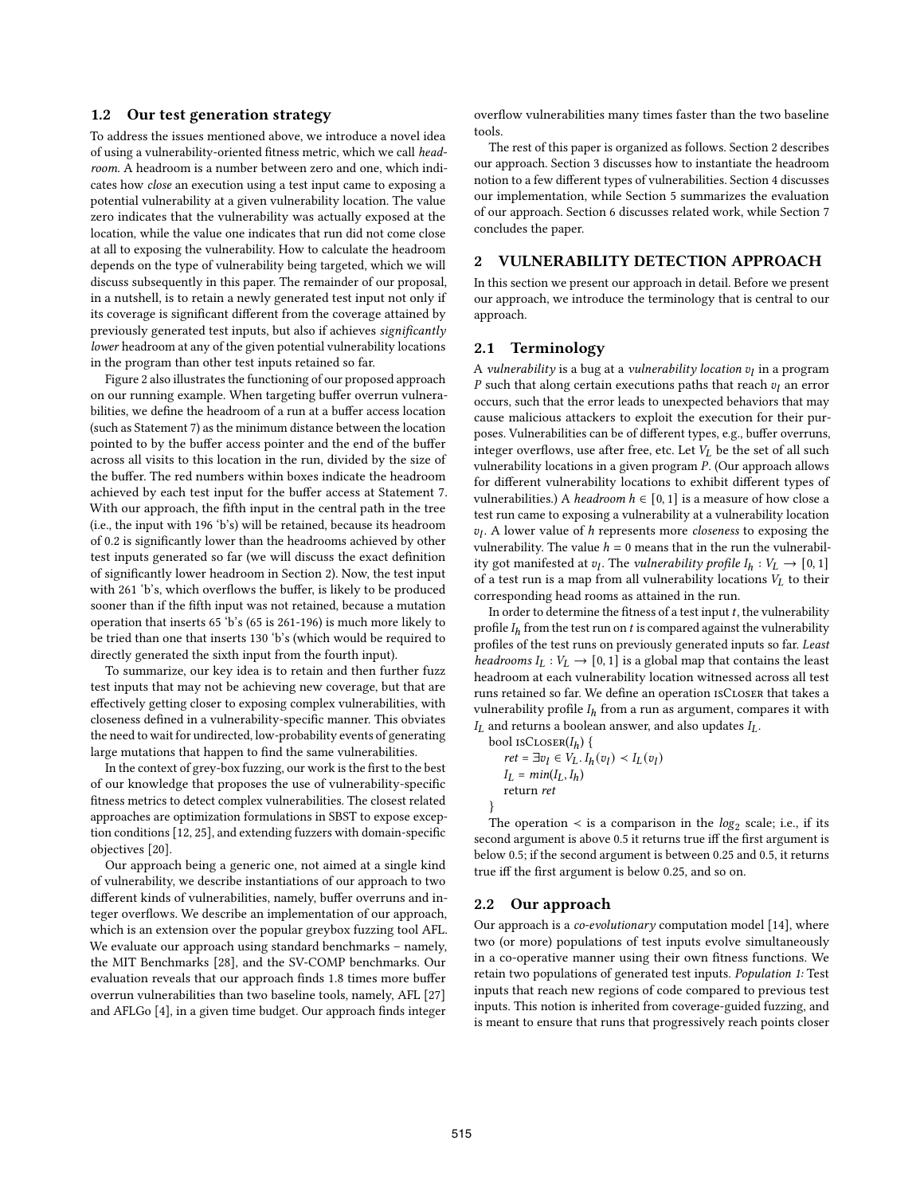# **1.2 Our test generation strategy**

To address the issues mentioned above, we introduce a novel idea of using a vulnerability-oriented fitness metric, which we call *headroom*. A headroom is a number between zero and one, which indicates how *close* an execution using a test input came to exposing a potential vulnerability at a given vulnerability location. The value zero indicates that the vulnerability was actually exposed at the location, while the value one indicates that run did not come close at all to exposing the vulnerability. How to calculate the headroom depends on the type of vulnerability being targeted, which we will discuss subsequently in this paper. The remainder of our proposal, in a nutshell, is to retain a newly generated test input not only if its coverage is significant different from the coverage attained by previously generated test inputs, but also if achieves *significantly lower* headroom at any of the given potential vulnerability locations in the program than other test inputs retained so far.

Figure 2 also illustrates the functioning of our proposed approach on our running example. When targeting buffer overrun vulnerabilities, we define the headroom of a run at a buffer access location (such as Statement 7) as the minimum distance between the location pointed to by the buffer access pointer and the end of the buffer across all visits to this location in the run, divided by the size of the buffer. The red numbers within boxes indicate the headroom achieved by each test input for the buffer access at Statement 7. With our approach, the fifth input in the central path in the tree (i.e., the input with 196 'b's) will be retained, because its headroom of 0.2 is significantly lower than the headrooms achieved by other test inputs generated so far (we will discuss the exact definition of significantly lower headroom in Section 2). Now, the test input with 261 'b's, which overflows the buffer, is likely to be produced sooner than if the fifth input was not retained, because a mutation operation that inserts 65 'b's (65 is 261-196) is much more likely to be tried than one that inserts 130 'b's (which would be required to directly generated the sixth input from the fourth input).

To summarize, our key idea is to retain and then further fuzz test inputs that may not be achieving new coverage, but that are effectively getting closer to exposing complex vulnerabilities, with closeness defined in a vulnerability-specific manner. This obviates the need to wait for undirected, low-probability events of generating large mutations that happen to find the same vulnerabilities.

In the context of grey-box fuzzing, our work is the first to the best of our knowledge that proposes the use of vulnerability-specific fitness metrics to detect complex vulnerabilities. The closest related approaches are optimization formulations in SBST to expose exception conditions [12, 25], and extending fuzzers with domain-specific objectives [20].

Our approach being a generic one, not aimed at a single kind of vulnerability, we describe instantiations of our approach to two different kinds of vulnerabilities, namely, buffer overruns and integer overflows. We describe an implementation of our approach, which is an extension over the popular greybox fuzzing tool AFL. We evaluate our approach using standard benchmarks – namely, the MIT Benchmarks [28], and the SV-COMP benchmarks. Our evaluation reveals that our approach finds 1.8 times more buffer overrun vulnerabilities than two baseline tools, namely, AFL [27] and AFLGo [4], in a given time budget. Our approach finds integer

overflow vulnerabilities many times faster than the two baseline tools.

The rest of this paper is organized as follows. Section 2 describes our approach. Section 3 discusses how to instantiate the headroom notion to a few different types of vulnerabilities. Section 4 discusses our implementation, while Section 5 summarizes the evaluation of our approach. Section 6 discusses related work, while Section 7 concludes the paper.

#### **2 VULNERABILITY DETECTION APPROACH**

In this section we present our approach in detail. Before we present our approach, we introduce the terminology that is central to our approach.

# **2.1 Terminology**

A *vulnerability* is a bug at a *vulnerability location* in a program P such that along certain executions paths that reach  $v_l$  an error occurs, such that the error leads to unexpected behaviors that may cause malicious attackers to exploit the execution for their purposes. Vulnerabilities can be of different types, e.g., buffer overruns, integer overflows, use after free, etc. Let  $V_L$  be the set of all such vulnerability locations in a given program  $P$ . (Our approach allows for different vulnerability locations to exhibit different types of vulnerabilities.) A *headroom*  $h \in [0, 1]$  is a measure of how close a test run came to exposing a vulnerability at a vulnerability location . A lower value of ℎ represents more *closeness* to exposing the vulnerability. The value  $h = 0$  means that in the run the vulnerability got manifested at  $v_l$ . The *vulnerability profile*  $I_h : V_L \to [0, 1]$ of a test run is a map from all vulnerability locations  $V_L$  to their corresponding head rooms as attained in the run.

In order to determine the fitness of a test input  $t$ , the vulnerability profile  $I_h$  from the test run on  $t$  is compared against the vulnerability profiles of the test runs on previously generated inputs so far. *Least headrooms*  $I_L : V_L \to [0, 1]$  is a global map that contains the least headroom at each vulnerability location witnessed across all test runs retained so far. We define an operation isCloser that takes a vulnerability profile  $I_h$  from a run as argument, compares it with  $I_L$  and returns a boolean answer, and also updates  $I_L$ .

bool  $\text{isCloser}(I_h)$  {  $ret = \exists v_l \in V_L$ .  $I_h(v_l) \prec I_L(v_l)$  $I_L = min(I_L, I_h)$ return *ret*

The operation  $\prec$  is a comparison in the *log*<sub>2</sub> scale; i.e., if its second argument is above 0.5 it returns true iff the first argument is below 0.5; if the second argument is between 0.25 and 0.5, it returns true iff the first argument is below 0.25, and so on.

#### **2.2 Our approach**

}

Our approach is a *co-evolutionary* computation model [14], where two (or more) populations of test inputs evolve simultaneously in a co-operative manner using their own fitness functions. We retain two populations of generated test inputs. *Population 1:* Test inputs that reach new regions of code compared to previous test inputs. This notion is inherited from coverage-guided fuzzing, and is meant to ensure that runs that progressively reach points closer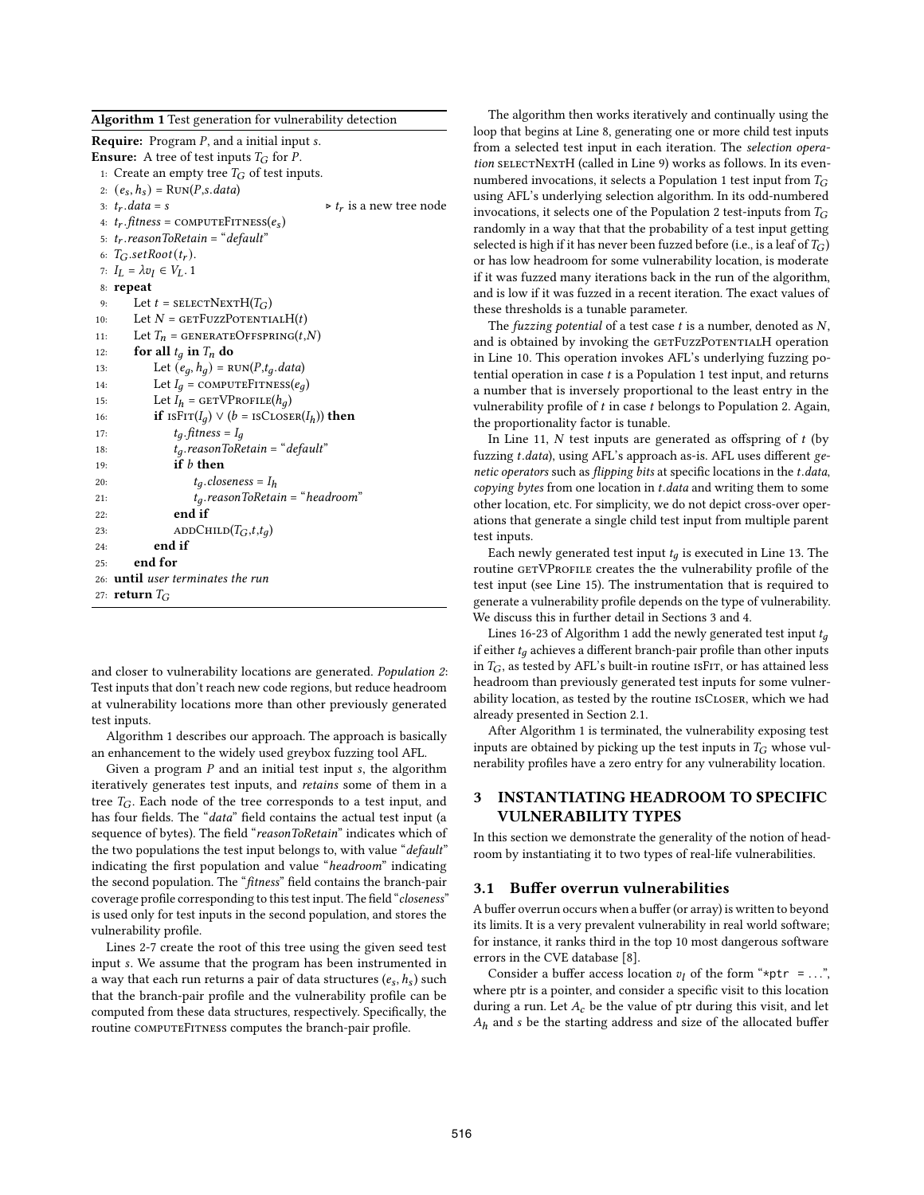**Algorithm 1** Test generation for vulnerability detection

| <b>Require:</b> Program P, and a initial input s.                         |
|---------------------------------------------------------------------------|
| <b>Ensure:</b> A tree of test inputs $T_G$ for P.                         |
| 1: Create an empty tree $T_G$ of test inputs.                             |
| 2: $(e_s, h_s)$ = RUN( <i>P</i> , <i>s.data</i> )                         |
| 3: $t_r$ . data = s<br>$\triangleright t_r$ is a new tree node            |
| 4: $t_r$ . fitness = COMPUTEFITNESS( $e_s$ )                              |
| 5: $t_r$ .reasonToRetain = "default"                                      |
| 6: $T_G.setRoot(t_r)$ .                                                   |
| 7: $I_L = \lambda v_l \in V_L$ . 1                                        |
| 8: repeat                                                                 |
| Let $t =$ select Next H $(T_G)$<br>9:                                     |
| Let $N = \text{GETFuzzPortinLH}(t)$<br>10:                                |
| Let $T_n$ = GENERATEOFFSPRING $(t, N)$<br>11:                             |
| for all $t_q$ in $T_n$ do<br>12:                                          |
| Let $(e_q, h_q)$ = RUN(P,t <sub>q</sub> .data)<br>13:                     |
| Let $I_q$ = COMPUTEFITNESS( $e_q$ )<br>14:                                |
| Let $I_h$ = GETVPROFILE( $h_q$ )<br>15:                                   |
| <b>if</b> $\text{isFir}(I_q) \vee (b = \text{isCloser}(I_h))$ then<br>16: |
| $t_q$ . fitness = $I_q$<br>17:                                            |
| $t_q$ .reasonToRetain = "default"<br>18:                                  |
| if <i>b</i> then<br>19:                                                   |
| $t_g$ .closeness = $I_h$<br>20:                                           |
| $t_q$ .reasonToRetain = "headroom"<br>21:                                 |
| end if<br>22:                                                             |
| ADDCHILD $(T_G,t,t_q)$<br>23:                                             |
| end if<br>24:                                                             |
| end for<br>25:                                                            |
| 26: <b>until</b> user terminates the run                                  |
| 27: <b>return</b> $T_G$                                                   |

and closer to vulnerability locations are generated. *Population 2*: Test inputs that don't reach new code regions, but reduce headroom at vulnerability locations more than other previously generated test inputs.

Algorithm 1 describes our approach. The approach is basically an enhancement to the widely used greybox fuzzing tool AFL.

Given a program  $P$  and an initial test input  $s$ , the algorithm iteratively generates test inputs, and *retains* some of them in a tree  $T_G$ . Each node of the tree corresponds to a test input, and has four fields. The "*data*" field contains the actual test input (a sequence of bytes). The field "*reasonToRetain*" indicates which of the two populations the test input belongs to, with value "*default*" indicating the first population and value "*headroom*" indicating the second population. The "*fitness*" field contains the branch-pair coverage profile corresponding to this test input. The field "*closeness*" is used only for test inputs in the second population, and stores the vulnerability profile.

Lines 2-7 create the root of this tree using the given seed test input s. We assume that the program has been instrumented in a way that each run returns a pair of data structures  $(e_s, h_s)$  such that the branch-pair profile and the vulnerability profile can be computed from these data structures, respectively. Specifically, the routine COMPUTEFITNESS computes the branch-pair profile.

The algorithm then works iteratively and continually using the loop that begins at Line 8, generating one or more child test inputs from a selected test input in each iteration. The *selection operation* SELECTNEXTH (called in Line 9) works as follows. In its evennumbered invocations, it selects a Population 1 test input from  $T_G$ using AFL's underlying selection algorithm. In its odd-numbered invocations, it selects one of the Population 2 test-inputs from  $T_G$ randomly in a way that that the probability of a test input getting selected is high if it has never been fuzzed before (i.e., is a leaf of  $T_G$ ) or has low headroom for some vulnerability location, is moderate if it was fuzzed many iterations back in the run of the algorithm, and is low if it was fuzzed in a recent iteration. The exact values of these thresholds is a tunable parameter.

The *fuzzing potential* of a test case  $t$  is a number, denoted as  $N$ , and is obtained by invoking the GETFUZZPOTENTIALH operation in Line 10. This operation invokes AFL's underlying fuzzing potential operation in case  $t$  is a Population 1 test input, and returns a number that is inversely proportional to the least entry in the vulnerability profile of  $t$  in case  $t$  belongs to Population 2. Again, the proportionality factor is tunable.

In Line 11,  $N$  test inputs are generated as offspring of  $t$  (by fuzzing .*data*), using AFL's approach as-is. AFL uses different *genetic operators* such as *flipping bits* at specific locations in the .*data*, *copying bytes* from one location in .*data* and writing them to some other location, etc. For simplicity, we do not depict cross-over operations that generate a single child test input from multiple parent test inputs.

Each newly generated test input  $t_q$  is executed in Line 13. The routine GETVPROFILE creates the the vulnerability profile of the test input (see Line 15). The instrumentation that is required to generate a vulnerability profile depends on the type of vulnerability. We discuss this in further detail in Sections 3 and 4.

Lines 16-23 of Algorithm 1 add the newly generated test input  $t_q$ if either  $t_q$  achieves a different branch-pair profile than other inputs in  $T_G$ , as tested by AFL's built-in routine isFir, or has attained less headroom than previously generated test inputs for some vulnerability location, as tested by the routine isCloser, which we had already presented in Section 2.1.

After Algorithm 1 is terminated, the vulnerability exposing test inputs are obtained by picking up the test inputs in  $T_G$  whose vulnerability profiles have a zero entry for any vulnerability location.

# **3 INSTANTIATING HEADROOM TO SPECIFIC VULNERABILITY TYPES**

In this section we demonstrate the generality of the notion of headroom by instantiating it to two types of real-life vulnerabilities.

#### **3.1 Buffer overrun vulnerabilities**

A buffer overrun occurs when a buffer (or array) is written to beyond its limits. It is a very prevalent vulnerability in real world software; for instance, it ranks third in the top 10 most dangerous software errors in the CVE database [8].

Consider a buffer access location  $v_l$  of the form "\*ptr = ...", where ptr is a pointer, and consider a specific visit to this location during a run. Let  $A_c$  be the value of ptr during this visit, and let  $A_h$  and s be the starting address and size of the allocated buffer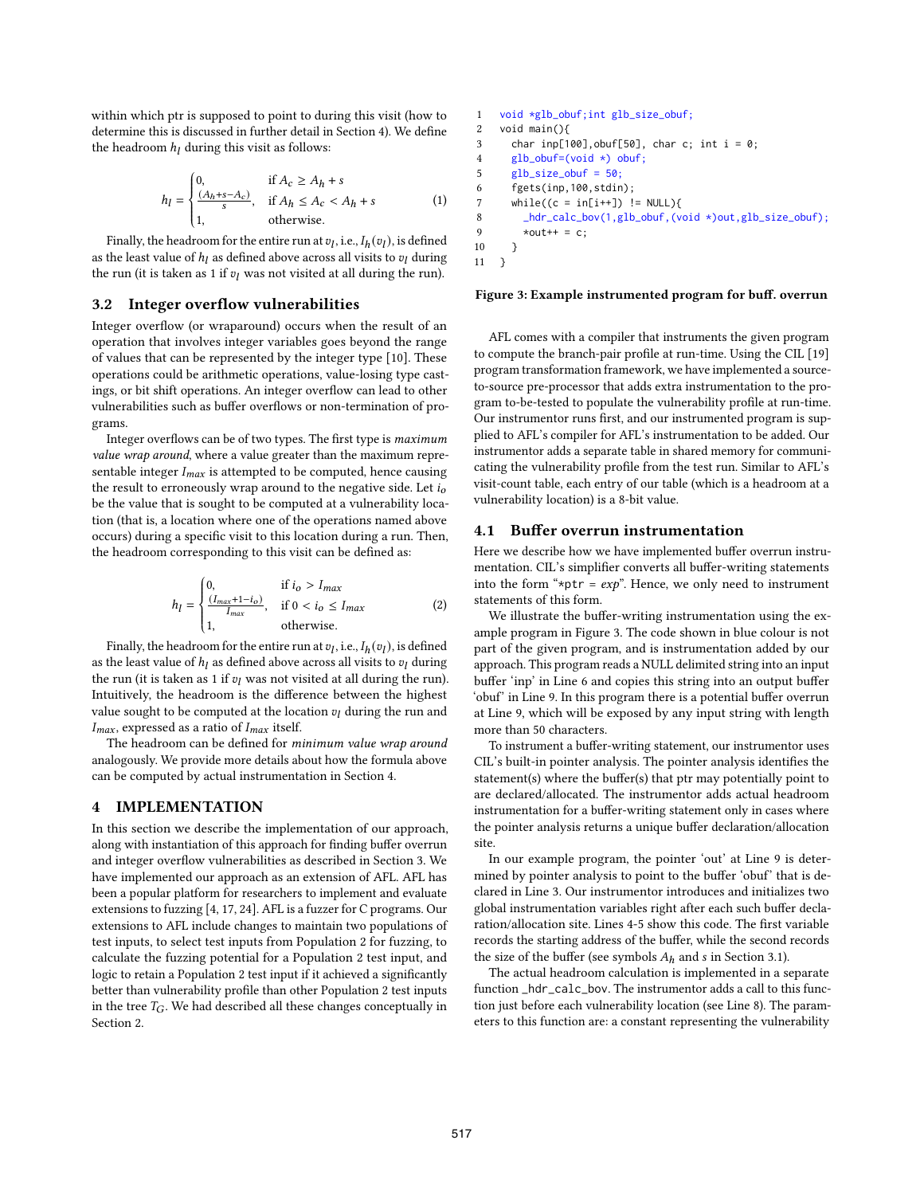within which ptr is supposed to point to during this visit (how to determine this is discussed in further detail in Section 4). We define the headroom  $h_l$  during this visit as follows:

$$
h_l = \begin{cases} 0, & \text{if } A_c \ge A_h + s \\ \frac{(A_h + s - A_c)}{s}, & \text{if } A_h \le A_c < A_h + s \\ 1, & \text{otherwise.} \end{cases} \tag{1}
$$

Finally, the headroom for the entire run at  $v_l$ , i.e.,  $I_h(v_l)$ , is defined as the least value of  $h_l$  as defined above across all visits to  $v_l$  during the run (it is taken as 1 if  $v_l$  was not visited at all during the run).

#### **3.2 Integer overflow vulnerabilities**

Integer overflow (or wraparound) occurs when the result of an operation that involves integer variables goes beyond the range of values that can be represented by the integer type [10]. These operations could be arithmetic operations, value-losing type castings, or bit shift operations. An integer overflow can lead to other vulnerabilities such as buffer overflows or non-termination of programs.

Integer overflows can be of two types. The first type is *maximum value wrap around*, where a value greater than the maximum representable integer *max* is attempted to be computed, hence causing the result to erroneously wrap around to the negative side. Let  $i<sub>o</sub>$ be the value that is sought to be computed at a vulnerability location (that is, a location where one of the operations named above occurs) during a specific visit to this location during a run. Then, the headroom corresponding to this visit can be defined as:

$$
h_{l} = \begin{cases} 0, & \text{if } i_{o} > I_{max} \\ \frac{(I_{max} + 1 - i_{o})}{I_{max}}, & \text{if } 0 < i_{o} \le I_{max} \\ 1, & \text{otherwise.} \end{cases} \tag{2}
$$

Finally, the headroom for the entire run at  $v_l$ , i.e.,  $I_h(v_l)$ , is defined as the least value of  $h_l$  as defined above across all visits to  $v_l$  during the run (it is taken as 1 if  $v_l$  was not visited at all during the run). Intuitively, the headroom is the difference between the highest value sought to be computed at the location  $v_l$  during the run and *max* , expressed as a ratio of *max* itself.

The headroom can be defined for *minimum value wrap around* analogously. We provide more details about how the formula above can be computed by actual instrumentation in Section 4.

#### **4 IMPLEMENTATION**

In this section we describe the implementation of our approach, along with instantiation of this approach for finding buffer overrun and integer overflow vulnerabilities as described in Section 3. We have implemented our approach as an extension of AFL. AFL has been a popular platform for researchers to implement and evaluate extensions to fuzzing [4, 17, 24]. AFL is a fuzzer for C programs. Our extensions to AFL include changes to maintain two populations of test inputs, to select test inputs from Population 2 for fuzzing, to calculate the fuzzing potential for a Population 2 test input, and logic to retain a Population 2 test input if it achieved a significantly better than vulnerability profile than other Population 2 test inputs in the tree  $T_G$ . We had described all these changes conceptually in Section 2.

```
1 void *glb_obuf;int glb_size_obuf;
2 void main(){
3 char inp[100], obuf[50], char c; int i = 0;
4 glb_obuf=(void *) obuf;
5 glb\_size\_obuf = 50;
6 fgets(inp,100,stdin);
7 while((c = in[i++]) != NULL){<br>8 hdr. calc. boy(1 glb. obuf (y
8 hat_cabc_bov(1,glb_oubuf, (void *)out, glb_size_obuf);<br>9 xout++ = c*out++ = c;
10 \qquad \gamma11 }
```
#### **Figure 3: Example instrumented program for buff. overrun**

AFL comes with a compiler that instruments the given program to compute the branch-pair profile at run-time. Using the CIL [19] program transformation framework, we have implemented a sourceto-source pre-processor that adds extra instrumentation to the program to-be-tested to populate the vulnerability profile at run-time. Our instrumentor runs first, and our instrumented program is supplied to AFL's compiler for AFL's instrumentation to be added. Our instrumentor adds a separate table in shared memory for communicating the vulnerability profile from the test run. Similar to AFL's visit-count table, each entry of our table (which is a headroom at a vulnerability location) is a 8-bit value.

#### **4.1 Buffer overrun instrumentation**

Here we describe how we have implemented buffer overrun instrumentation. CIL's simplifier converts all buffer-writing statements into the form "\*ptr = *exp*". Hence, we only need to instrument statements of this form.

We illustrate the buffer-writing instrumentation using the example program in Figure 3. The code shown in blue colour is not part of the given program, and is instrumentation added by our approach. This program reads a NULL delimited string into an input buffer 'inp' in Line 6 and copies this string into an output buffer 'obuf' in Line 9. In this program there is a potential buffer overrun at Line 9, which will be exposed by any input string with length more than 50 characters.

To instrument a buffer-writing statement, our instrumentor uses CIL's built-in pointer analysis. The pointer analysis identifies the statement(s) where the buffer(s) that ptr may potentially point to are declared/allocated. The instrumentor adds actual headroom instrumentation for a buffer-writing statement only in cases where the pointer analysis returns a unique buffer declaration/allocation site.

In our example program, the pointer 'out' at Line 9 is determined by pointer analysis to point to the buffer 'obuf' that is declared in Line 3. Our instrumentor introduces and initializes two global instrumentation variables right after each such buffer declaration/allocation site. Lines 4-5 show this code. The first variable records the starting address of the buffer, while the second records the size of the buffer (see symbols  $A_h$  and  $s$  in Section 3.1).

The actual headroom calculation is implemented in a separate function \_hdr\_calc\_bov. The instrumentor adds a call to this function just before each vulnerability location (see Line 8). The parameters to this function are: a constant representing the vulnerability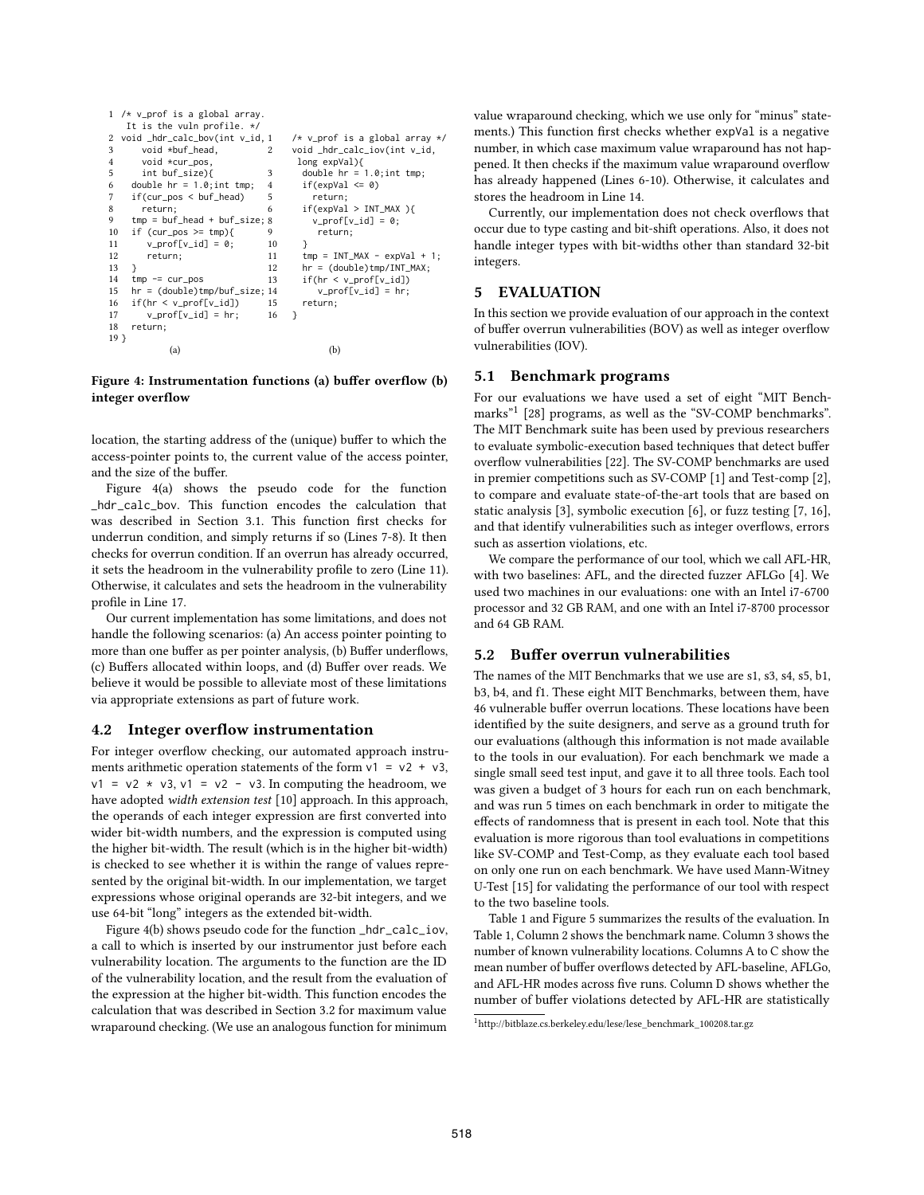|                 | $1 \times v$ prof is a global array. |                |                                  |
|-----------------|--------------------------------------|----------------|----------------------------------|
|                 | It is the vuln profile. $*/$         |                |                                  |
|                 | 2 void _hdr_calc_bov(int v_id, 1     |                | /* v_prof is a global array $*/$ |
| 3               | void *buf_head,                      | 2              | void _hdr_calc_iov(int v_id,     |
| $\overline{4}$  | void *cur_pos,                       |                | long expVal){                    |
| 5               | int buf_size){                       | 3              | double $hr = 1.0$ ; int tmp;     |
| 6               | double $hr = 1.0; int tmp;$          | $\overline{4}$ | $if(expVal \leq 0)$              |
| 7               | $if(cur_pos < buf_head)$             | 5              | return;                          |
| 8               | return;                              | 6              | $if(expVal > INT_MAX )$          |
| 9               | $tmp = buf\_head + buf\_size; 8$     |                | $v\_prof[v_id] = 0$ ;            |
| 10              | if (cur_pos >= $tmp)$                | 9              | return;                          |
| 11              | $v\_prof[v_id] = 0$ ;                | 10             | }                                |
| 12              | return;                              | 11             | $tmp = INT\_MAX - expVal + 1$ ;  |
| 13              | }                                    | 12             | $hr = (double)tmp/INT_MAX;$      |
| 14              | $tmp = cur_pos$                      | 13             | $if(hr < v\_prof[v_id])$         |
| 15              | $hr = (double)tmp/buf_size; 14$      |                | $v\_prof[v_id] = hr$ ;           |
| 16              | $if(hr < v_prof[v_id])$              | 15             | return;                          |
| 17              | $v\_prof[v_id] = hr$ ;               | 16             | -7                               |
| 18              | return;                              |                |                                  |
| 19 <sup>3</sup> |                                      |                |                                  |
|                 | (a)                                  |                | (b)                              |

**Figure 4: Instrumentation functions (a) buffer overflow (b) integer overflow**

location, the starting address of the (unique) buffer to which the access-pointer points to, the current value of the access pointer, and the size of the buffer.

Figure 4(a) shows the pseudo code for the function \_hdr\_calc\_bov. This function encodes the calculation that was described in Section 3.1. This function first checks for underrun condition, and simply returns if so (Lines 7-8). It then checks for overrun condition. If an overrun has already occurred, it sets the headroom in the vulnerability profile to zero (Line 11). Otherwise, it calculates and sets the headroom in the vulnerability profile in Line 17.

Our current implementation has some limitations, and does not handle the following scenarios: (a) An access pointer pointing to more than one buffer as per pointer analysis, (b) Buffer underflows, (c) Buffers allocated within loops, and (d) Buffer over reads. We believe it would be possible to alleviate most of these limitations via appropriate extensions as part of future work.

# **4.2 Integer overflow instrumentation**

For integer overflow checking, our automated approach instruments arithmetic operation statements of the form  $v1 = v2 + v3$ ,  $v1 = v2 \times v3$ ,  $v1 = v2 - v3$ . In computing the headroom, we have adopted *width extension test* [10] approach. In this approach, the operands of each integer expression are first converted into wider bit-width numbers, and the expression is computed using the higher bit-width. The result (which is in the higher bit-width) is checked to see whether it is within the range of values represented by the original bit-width. In our implementation, we target expressions whose original operands are 32-bit integers, and we use 64-bit "long" integers as the extended bit-width.

Figure 4(b) shows pseudo code for the function \_hdr\_calc\_iov, a call to which is inserted by our instrumentor just before each vulnerability location. The arguments to the function are the ID of the vulnerability location, and the result from the evaluation of the expression at the higher bit-width. This function encodes the calculation that was described in Section 3.2 for maximum value wraparound checking. (We use an analogous function for minimum value wraparound checking, which we use only for "minus" statements.) This function first checks whether expVal is a negative number, in which case maximum value wraparound has not happened. It then checks if the maximum value wraparound overflow has already happened (Lines 6-10). Otherwise, it calculates and stores the headroom in Line 14.

Currently, our implementation does not check overflows that occur due to type casting and bit-shift operations. Also, it does not handle integer types with bit-widths other than standard 32-bit integers.

# **5 EVALUATION**

In this section we provide evaluation of our approach in the context of buffer overrun vulnerabilities (BOV) as well as integer overflow vulnerabilities (IOV).

## **5.1 Benchmark programs**

For our evaluations we have used a set of eight "MIT Benchmarks"<sup>1</sup> [28] programs, as well as the "SV-COMP benchmarks". The MIT Benchmark suite has been used by previous researchers to evaluate symbolic-execution based techniques that detect buffer overflow vulnerabilities [22]. The SV-COMP benchmarks are used in premier competitions such as SV-COMP [1] and Test-comp [2], to compare and evaluate state-of-the-art tools that are based on static analysis [3], symbolic execution [6], or fuzz testing [7, 16], and that identify vulnerabilities such as integer overflows, errors such as assertion violations, etc.

We compare the performance of our tool, which we call AFL-HR, with two baselines: AFL, and the directed fuzzer AFLGo [4]. We used two machines in our evaluations: one with an Intel i7-6700 processor and 32 GB RAM, and one with an Intel i7-8700 processor and 64 GB RAM.

# **5.2 Buffer overrun vulnerabilities**

The names of the MIT Benchmarks that we use are s1, s3, s4, s5, b1, b3, b4, and f1. These eight MIT Benchmarks, between them, have 46 vulnerable buffer overrun locations. These locations have been identified by the suite designers, and serve as a ground truth for our evaluations (although this information is not made available to the tools in our evaluation). For each benchmark we made a single small seed test input, and gave it to all three tools. Each tool was given a budget of 3 hours for each run on each benchmark, and was run 5 times on each benchmark in order to mitigate the effects of randomness that is present in each tool. Note that this evaluation is more rigorous than tool evaluations in competitions like SV-COMP and Test-Comp, as they evaluate each tool based on only one run on each benchmark. We have used Mann-Witney U-Test [15] for validating the performance of our tool with respect to the two baseline tools.

Table 1 and Figure 5 summarizes the results of the evaluation. In Table 1, Column 2 shows the benchmark name. Column 3 shows the number of known vulnerability locations. Columns A to C show the mean number of buffer overflows detected by AFL-baseline, AFLGo, and AFL-HR modes across five runs. Column D shows whether the number of buffer violations detected by AFL-HR are statistically

<sup>&</sup>lt;sup>1</sup>http://bitblaze.cs.berkeley.edu/lese/lese\_benchmark\_100208.tar.gz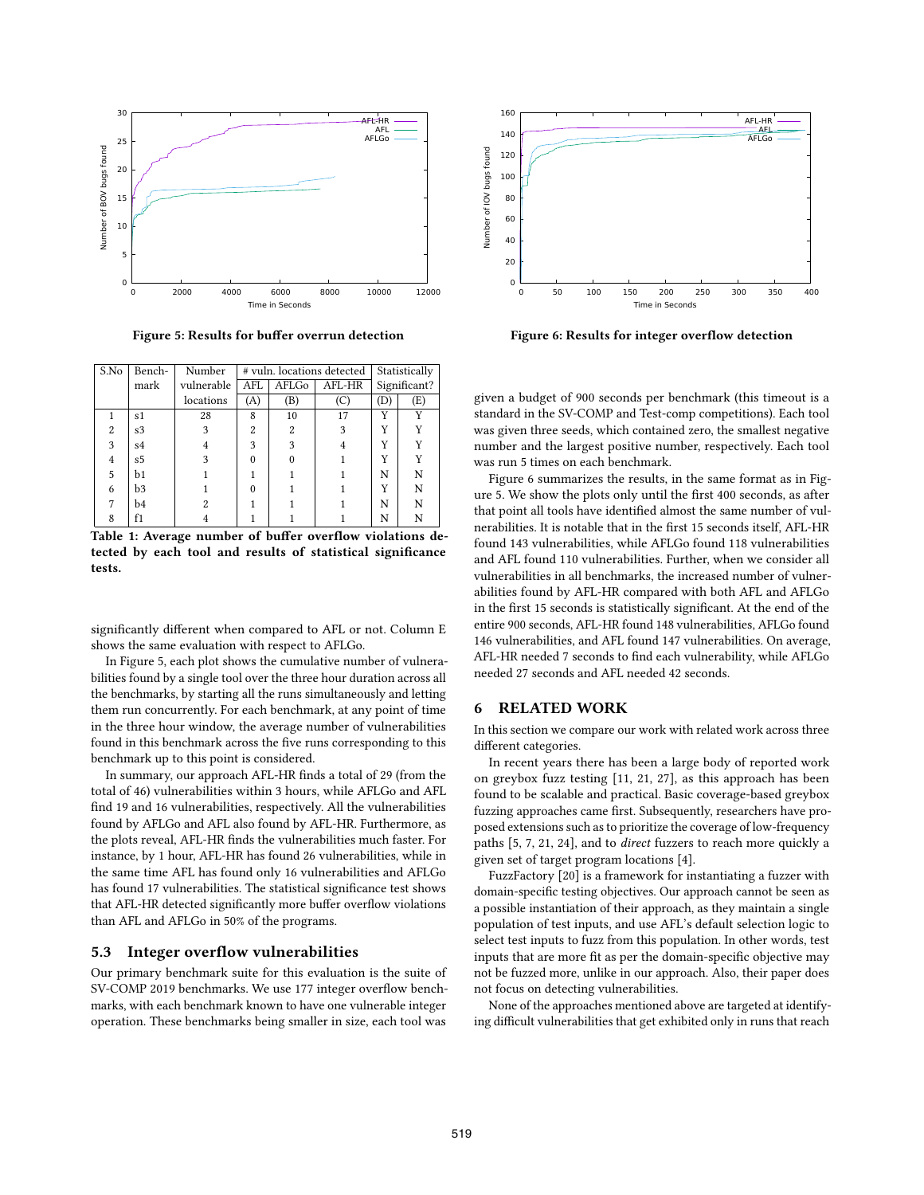

**Figure 5: Results for buffer overrun detection**

| S.No | Bench- | Number     |                        | # vuln. locations detected | Statistically |    |     |
|------|--------|------------|------------------------|----------------------------|---------------|----|-----|
|      | mark   | vulnerable | AFL-HR<br>AFLGo<br>AFL |                            | Significant?  |    |     |
|      |        | locations  | (A)                    | (B)                        | (C            | (D | (E) |
|      | s1     | 28         | 8                      | 10                         | 17            | v  | v   |
| 2    | s3     | 3          | $\overline{c}$         | 2                          | 3             |    | Y   |
| 3    | s4     |            | 3                      |                            |               |    | Y   |
| 4    | s5     | 3          |                        |                            |               |    |     |
| 5    | b1     |            |                        |                            |               | N  | N   |
| 6    | b3     |            |                        |                            |               |    | N   |
|      | b4     |            |                        |                            |               | N  | N   |
| 8    | f1     |            |                        |                            |               | N  |     |

**Table 1: Average number of buffer overflow violations detected by each tool and results of statistical significance tests.**

significantly different when compared to AFL or not. Column E shows the same evaluation with respect to AFLGo.

In Figure 5, each plot shows the cumulative number of vulnerabilities found by a single tool over the three hour duration across all the benchmarks, by starting all the runs simultaneously and letting them run concurrently. For each benchmark, at any point of time in the three hour window, the average number of vulnerabilities found in this benchmark across the five runs corresponding to this benchmark up to this point is considered.

In summary, our approach AFL-HR finds a total of 29 (from the total of 46) vulnerabilities within 3 hours, while AFLGo and AFL find 19 and 16 vulnerabilities, respectively. All the vulnerabilities found by AFLGo and AFL also found by AFL-HR. Furthermore, as the plots reveal, AFL-HR finds the vulnerabilities much faster. For instance, by 1 hour, AFL-HR has found 26 vulnerabilities, while in the same time AFL has found only 16 vulnerabilities and AFLGo has found 17 vulnerabilities. The statistical significance test shows that AFL-HR detected significantly more buffer overflow violations than AFL and AFLGo in 50% of the programs.

## **5.3 Integer overflow vulnerabilities**

Our primary benchmark suite for this evaluation is the suite of SV-COMP 2019 benchmarks. We use 177 integer overflow benchmarks, with each benchmark known to have one vulnerable integer operation. These benchmarks being smaller in size, each tool was



**Figure 6: Results for integer overflow detection**

given a budget of 900 seconds per benchmark (this timeout is a standard in the SV-COMP and Test-comp competitions). Each tool was given three seeds, which contained zero, the smallest negative number and the largest positive number, respectively. Each tool was run 5 times on each benchmark.

Figure 6 summarizes the results, in the same format as in Figure 5. We show the plots only until the first 400 seconds, as after that point all tools have identified almost the same number of vulnerabilities. It is notable that in the first 15 seconds itself, AFL-HR found 143 vulnerabilities, while AFLGo found 118 vulnerabilities and AFL found 110 vulnerabilities. Further, when we consider all vulnerabilities in all benchmarks, the increased number of vulnerabilities found by AFL-HR compared with both AFL and AFLGo in the first 15 seconds is statistically significant. At the end of the entire 900 seconds, AFL-HR found 148 vulnerabilities, AFLGo found 146 vulnerabilities, and AFL found 147 vulnerabilities. On average, AFL-HR needed 7 seconds to find each vulnerability, while AFLGo needed 27 seconds and AFL needed 42 seconds.

# **6 RELATED WORK**

In this section we compare our work with related work across three different categories.

In recent years there has been a large body of reported work on greybox fuzz testing [11, 21, 27], as this approach has been found to be scalable and practical. Basic coverage-based greybox fuzzing approaches came first. Subsequently, researchers have proposed extensions such as to prioritize the coverage of low-frequency paths [5, 7, 21, 24], and to *direct* fuzzers to reach more quickly a given set of target program locations [4].

FuzzFactory [20] is a framework for instantiating a fuzzer with domain-specific testing objectives. Our approach cannot be seen as a possible instantiation of their approach, as they maintain a single population of test inputs, and use AFL's default selection logic to select test inputs to fuzz from this population. In other words, test inputs that are more fit as per the domain-specific objective may not be fuzzed more, unlike in our approach. Also, their paper does not focus on detecting vulnerabilities.

None of the approaches mentioned above are targeted at identifying difficult vulnerabilities that get exhibited only in runs that reach